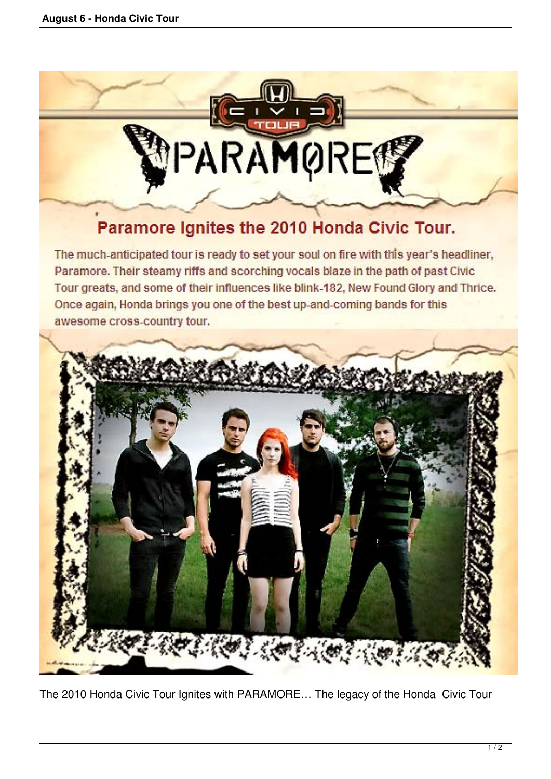

## Paramore Ignites the 2010 Honda Civic Tour.

The much-anticipated tour is ready to set your soul on fire with this year's headliner, Paramore. Their steamy riffs and scorching vocals blaze in the path of past Civic Tour greats, and some of their influences like blink-182, New Found Glory and Thrice. Once again, Honda brings you one of the best up-and-coming bands for this awesome cross-country tour.



The 2010 Honda Civic Tour Ignites with PARAMORE… The legacy of the Honda Civic Tour